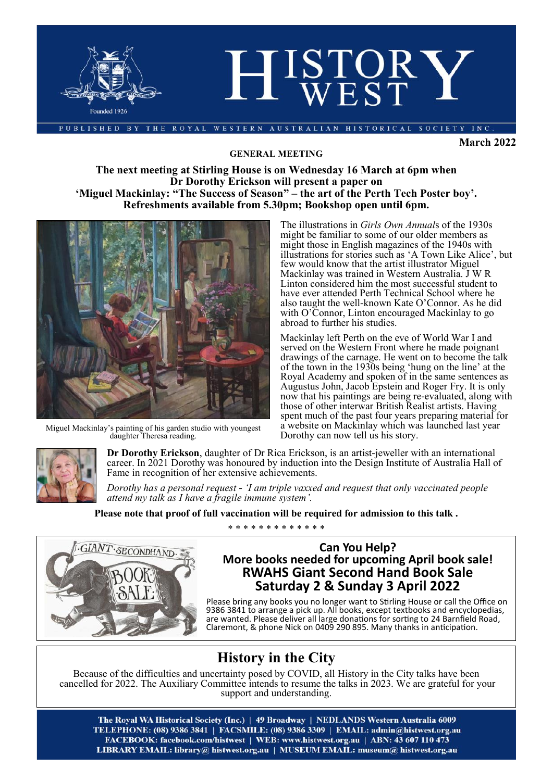

**March 2022**

#### **GENERAL MEETING**

### **The next meeting at Stirling House is on Wednesday 16 March at 6pm when Dr Dorothy Erickson will present a paper on 'Miguel Mackinlay: "The Success of Season" – the art of the Perth Tech Poster boy'. Refreshments available from 5.30pm; Bookshop open until 6pm.**



Miguel Mackinlay's painting of his garden studio with youngest daughter Theresa reading.

The illustrations in *Girls Own Annual*s of the 1930s might be familiar to some of our older members as might those in English magazines of the 1940s with illustrations for stories such as 'A Town Like Alice', but few would know that the artist illustrator Miguel Mackinlay was trained in Western Australia. J W R Linton considered him the most successful student to have ever attended Perth Technical School where he also taught the well-known Kate O'Connor. As he did with O'Connor, Linton encouraged Mackinlay to go abroad to further his studies.

Mackinlay left Perth on the eve of World War I and served on the Western Front where he made poignant drawings of the carnage. He went on to become the talk of the town in the 1930s being 'hung on the line' at the Royal Academy and spoken of in the same sentences as Augustus John, Jacob Epstein and Roger Fry. It is only now that his paintings are being re-evaluated, along with those of other interwar British Realist artists. Having spent much of the past four years preparing material for a website on Mackinlay which was launched last year Dorothy can now tell us his story.



**Dr Dorothy Erickson**, daughter of Dr Rica Erickson, is an artist-jeweller with an international career. In 2021 Dorothy was honoured by induction into the Design Institute of Australia Hall of Fame in recognition of her extensive achievements.

*Dorothy has a personal request - 'I am triple vaxxed and request that only vaccinated people attend my talk as I have a fragile immune system'.*

**Please note that proof of full vaccination will be required for admission to this talk .**



#### \* \* \* \* \* \* \* \* \* \* \* \* \*

### **Can You Help? More books needed for upcoming April book sale! RWAHS Giant Second Hand Book Sale Saturday 2 & Sunday 3 April 2022**

Please bring any books you no longer want to Stirling House or call the Office on 9386 3841 to arrange a pick up. All books, except textbooks and encyclopedias, are wanted. Please deliver all large donations for sorting to 24 Barnfield Road, Claremont, & phone Nick on 0409 290 895. Many thanks in anticipation.

### **History in the City**

Because of the difficulties and uncertainty posed by COVID, all History in the City talks have been cancelled for 2022. The Auxiliary Committee intends to resume the talks in 2023. We are grateful for your support and understanding.

The Royal WA Historical Society (Inc.) | 49 Broadway | NEDLANDS Western Australia 6009 TELEPHONE: (08) 9386 3841 | FACSMILE: (08) 9386 3309 | EMAIL: admin@histwest.org.au FACEBOOK: facebook.com/histwest | WEB: www.histwest.org.au | ABN: 43 607 110 473 LIBRARY EMAIL: library@ histwest.org.au | MUSEUM EMAIL: museum@ histwest.org.au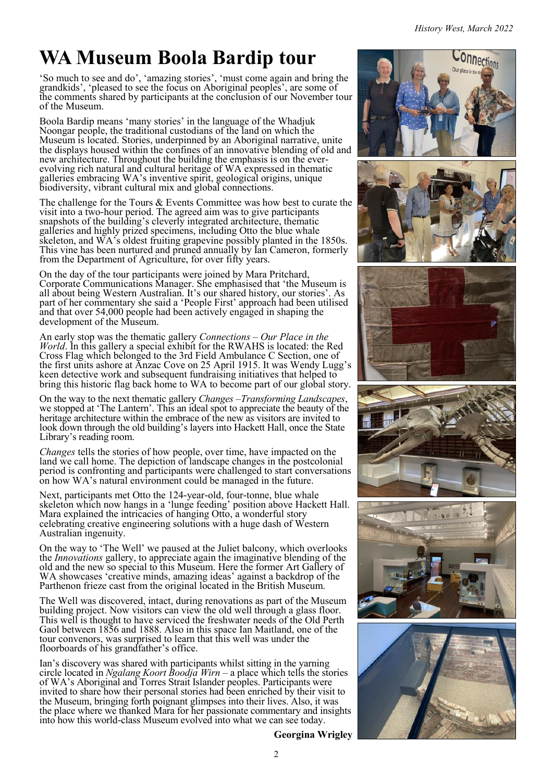# **WA Museum Boola Bardip tour**

'So much to see and do', 'amazing stories', 'must come again and bring the grandkids', 'pleased to see the focus on Aboriginal peoples', are some of the comments shared by participants at the conclusion of our November tour of the Museum.

Boola Bardip means 'many stories' in the language of the Whadjuk Noongar people, the traditional custodians of the land on which the Museum is located. Stories, underpinned by an Aboriginal narrative, unite the displays housed within the confines of an innovative blending of old and new architecture. Throughout the building the emphasis is on the everevolving rich natural and cultural heritage of WA expressed in thematic galleries embracing WA's inventive spirit, geological origins, unique biodiversity, vibrant cultural mix and global connections.

The challenge for the Tours & Events Committee was how best to curate the visit into a two-hour period. The agreed aim was to give participants snapshots of the building's cleverly integrated architecture, thematic galleries and highly prized specimens, including Otto the blue whale skeleton, and  $\overrightarrow{WA}$ 's oldest fruiting grapevine possibly planted in the 1850s. This vine has been nurtured and pruned annually by Ian Cameron, formerly from the Department of Agriculture, for over fifty years.

On the day of the tour participants were joined by Mara Pritchard, Corporate Communications Manager. She emphasised that 'the Museum is all about being Western Australian. It's our shared history, our stories'. As part of her commentary she said a 'People First' approach had been utilised and that over 54,000 people had been actively engaged in shaping the development of the Museum.

An early stop was the thematic gallery *Connections* – *Our Place in the World*. In this gallery a special exhibit for the RWAHS is located: the Red Cross Flag which belonged to the 3rd Field Ambulance C Section, one of the first units ashore at Anzac Cove on 25 April 1915. It was Wendy Lugg's keen detective work and subsequent fundraising initiatives that helped to bring this historic flag back home to WA to become part of our global story.

On the way to the next thematic gallery *Changes* –*Transforming Landscapes*, we stopped at 'The Lantern'. This an ideal spot to appreciate the beauty of the heritage architecture within the embrace of the new as visitors are invited to look down through the old building's layers into Hackett Hall, once the State Library's reading room.

*Changes* tells the stories of how people, over time, have impacted on the land we call home. The depiction of landscape changes in the postcolonial period is confronting and participants were challenged to start conversations on how WA's natural environment could be managed in the future.

Next, participants met Otto the 124-year-old, four-tonne, blue whale skeleton which now hangs in a 'lunge feeding' position above Hackett Hall. Mara explained the intricacies of hanging Otto, a wonderful story celebrating creative engineering solutions with a huge dash of Western Australian ingenuity.

On the way to 'The Well' we paused at the Juliet balcony, which overlooks the *Innovations* gallery, to appreciate again the imaginative blending of the old and the new so special to this Museum. Here the former Art Gallery of WA showcases 'creative minds, amazing ideas' against a backdrop of the Parthenon frieze cast from the original located in the British Museum.

The Well was discovered, intact, during renovations as part of the Museum building project. Now visitors can view the old well through a glass floor. This well is thought to have serviced the freshwater needs of the Old Perth Gaol between 1856 and 1888. Also in this space Ian Maitland, one of the tour convenors, was surprised to learn that this well was under the floorboards of his grandfather's office.

Ian's discovery was shared with participants whilst sitting in the yarning circle located in *Ngalang Koort Boodja Wirn* – a place which tells the stories of WA's Aboriginal and Torres Strait Islander peoples. Participants were invited to share how their personal stories had been enriched by their visit to the Museum, bringing forth poignant glimpses into their lives. Also, it was the place where we thanked Mara for her passionate commentary and insights into how this world-class Museum evolved into what we can see today.



**Georgina Wrigley**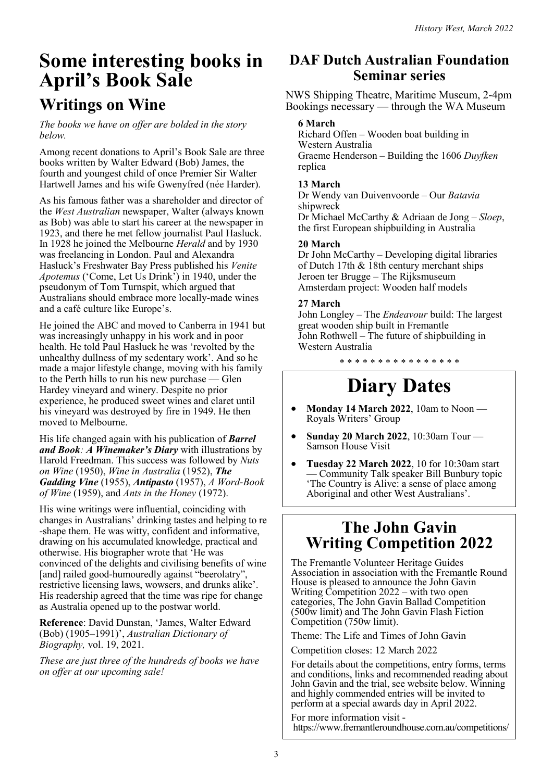## **Some interesting books in April's Book Sale Writings on Wine**

*The books we have on offer are bolded in the story below.*

Among recent donations to April's Book Sale are three books written by Walter Edward (Bob) James, the fourth and youngest child of once Premier Sir Walter Hartwell James and his wife Gwenyfred (née Harder).

As his famous father was a shareholder and director of the *West Australian* newspaper, Walter (always known as Bob) was able to start his career at the newspaper in 1923, and there he met fellow journalist Paul Hasluck. In 1928 he joined the Melbourne *Herald* and by 1930 was freelancing in London. Paul and Alexandra Hasluck's Freshwater Bay Press published his *Venite Apotemus* ('Come, Let Us Drink') in 1940, under the pseudonym of Tom Turnspit, which argued that Australians should embrace more locally-made wines and a café culture like Europe's.

He joined the ABC and moved to Canberra in 1941 but was increasingly unhappy in his work and in poor health. He told Paul Hasluck he was 'revolted by the unhealthy dullness of my sedentary work'. And so he made a major lifestyle change, moving with his family to the Perth hills to run his new purchase — Glen Hardey vineyard and winery. Despite no prior experience, he produced sweet wines and claret until his vineyard was destroyed by fire in 1949. He then moved to Melbourne.

His life changed again with his publication of *Barrel and Book: A Winemaker's Diary* with illustrations by Harold Freedman. This success was followed by *Nuts on Wine* (1950), *Wine in Australia* (1952), *The Gadding Vine* (1955), *Antipasto* (1957), *A Word-Book of Wine* (1959), and *Ants in the Honey* (1972).

His wine writings were influential, coinciding with changes in Australians' drinking tastes and helping to re -shape them. He was witty, confident and informative, drawing on his accumulated knowledge, practical and otherwise. His biographer wrote that 'He was convinced of the delights and civilising benefits of wine [and] railed good-humouredly against "beerolatry", restrictive licensing laws, wowsers, and drunks alike'. His readership agreed that the time was ripe for change as Australia opened up to the postwar world.

**Reference**: David Dunstan, 'James, Walter Edward (Bob) (1905–1991)', *Australian Dictionary of Biography,* vol. 19, 2021.

*These are just three of the hundreds of books we have on offer at our upcoming sale!*

### **DAF Dutch Australian Foundation Seminar series**

NWS Shipping Theatre, Maritime Museum, 2-4pm Bookings necessary — through the WA Museum

### **6 March**

Richard Offen – Wooden boat building in Western Australia Graeme Henderson – Building the 1606 *Duyfken* replica

### **13 March**

Dr Wendy van Duivenvoorde – Our *Batavia*  shipwreck

Dr Michael McCarthy & Adriaan de Jong – *Sloep*, the first European shipbuilding in Australia

### **20 March**

Dr John McCarthy – Developing digital libraries of Dutch 17th & 18th century merchant ships Jeroen ter Brugge – The Rijksmuseum Amsterdam project: Wooden half models

### **27 March**

John Longley – The *Endeavour* build: The largest great wooden ship built in Fremantle John Rothwell – The future of shipbuilding in Western Australia

\* \* \* \* \* \* \* \* \* \* \* \* \* \* \* \*

# **Diary Dates**

- **Monday 14 March 2022**, 10am to Noon Royals Writers' Group
- **Sunday 20 March 2022**, 10:30am Tour Samson House Visit
- **Tuesday 22 March 2022**, 10 for 10:30am start — Community Talk speaker Bill Bunbury topic 'The Country is Alive: a sense of place among Aboriginal and other West Australians'.

### **The John Gavin Writing Competition 2022**

The Fremantle Volunteer Heritage Guides Association in association with the Fremantle Round House is pleased to announce the John Gavin Writing Competition 2022 – with two open categories, The John Gavin Ballad Competition (500w limit) and The John Gavin Flash Fiction Competition (750w limit).

Theme: The Life and Times of John Gavin

Competition closes: 12 March 2022

For details about the competitions, entry forms, terms and conditions, links and recommended reading about John Gavin and the trial, see website below. Winning and highly commended entries will be invited to perform at a special awards day in April 2022.

For more information visit https://www.fremantleroundhouse.com.au/competitions/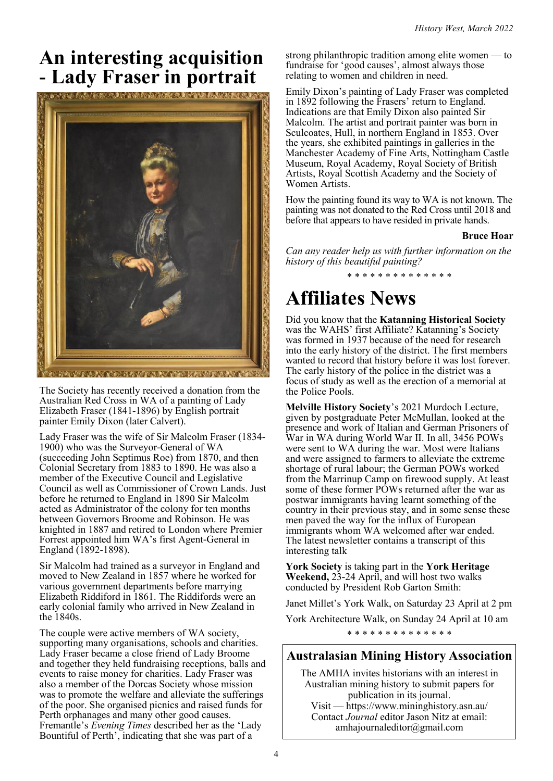## **An interesting acquisition - Lady Fraser in portrait**



The Society has recently received a donation from the Australian Red Cross in WA of a painting of Lady Elizabeth Fraser (1841-1896) by English portrait painter Emily Dixon (later Calvert).

Lady Fraser was the wife of Sir Malcolm Fraser (1834- 1900) who was the Surveyor-General of WA (succeeding John Septimus Roe) from 1870, and then Colonial Secretary from 1883 to 1890. He was also a member of the Executive Council and Legislative Council as well as Commissioner of Crown Lands. Just before he returned to England in 1890 Sir Malcolm acted as Administrator of the colony for ten months between Governors Broome and Robinson. He was knighted in 1887 and retired to London where Premier Forrest appointed him WA's first Agent-General in England (1892-1898).

Sir Malcolm had trained as a surveyor in England and moved to New Zealand in 1857 where he worked for various government departments before marrying Elizabeth Riddiford in 1861. The Riddifords were an early colonial family who arrived in New Zealand in the 1840s.

The couple were active members of WA society, supporting many organisations, schools and charities. Lady Fraser became a close friend of Lady Broome and together they held fundraising receptions, balls and events to raise money for charities. Lady Fraser was also a member of the Dorcas Society whose mission was to promote the welfare and alleviate the sufferings of the poor. She organised picnics and raised funds for Perth orphanages and many other good causes. Fremantle's *Evening Times* described her as the 'Lady Bountiful of Perth', indicating that she was part of a

strong philanthropic tradition among elite women — to fundraise for 'good causes', almost always those relating to women and children in need.

Emily Dixon's painting of Lady Fraser was completed in 1892 following the Frasers' return to England. Indications are that Emily Dixon also painted Sir Malcolm. The artist and portrait painter was born in Sculcoates, Hull, in northern England in 1853. Over the years, she exhibited paintings in galleries in the [Manchester Academy of Fine Arts,](https://www.artbiogs.co.uk/2/societies/manchester-academy-fine-arts) [Nottingham Castle](https://www.artbiogs.co.uk/2/galleries/nottingham-castle-museum)  [Museum,](https://www.artbiogs.co.uk/2/galleries/nottingham-castle-museum) [Royal Academy,](https://www.artbiogs.co.uk/2/societies/royal-academy-arts) [Royal Society of British](https://www.artbiogs.co.uk/2/societies/royal-society-british-artists)  [Artists,](https://www.artbiogs.co.uk/2/societies/royal-society-british-artists) [Royal Scottish Academy](https://www.artbiogs.co.uk/2/societies/royal-scottish-academy) and the [Society of](https://www.artbiogs.co.uk/2/societies/society-women-artists)  [Women Artists.](https://www.artbiogs.co.uk/2/societies/society-women-artists)

How the painting found its way to WA is not known. The painting was not donated to the Red Cross until 2018 and before that appears to have resided in private hands.

#### **Bruce Hoar**

*Can any reader help us with further information on the history of this beautiful painting?* \* \* \* \* \* \* \* \* \* \* \* \* \* \*

## **Affiliates News**

Did you know that the **Katanning Historical Society** was the WAHS' first Affiliate? Katanning's Society was formed in 1937 because of the need for research into the early history of the district. The first members wanted to record that history before it was lost forever. The early history of the police in the district was a focus of study as well as the erection of a memorial at the Police Pools.

**Melville History Society**'s 2021 Murdoch Lecture, given by postgraduate Peter McMullan, looked at the presence and work of Italian and German Prisoners of War in WA during World War II. In all, 3456 POWs were sent to WA during the war. Most were Italians and were assigned to farmers to alleviate the extreme shortage of rural labour; the German POWs worked from the Marrinup Camp on firewood supply. At least some of these former POWs returned after the war as postwar immigrants having learnt something of the country in their previous stay, and in some sense these men paved the way for the influx of European immigrants whom WA welcomed after war ended. The latest newsletter contains a transcript of this interesting talk

**York Society** is taking part in the **York Heritage Weekend,** 23-24 April, and will host two walks conducted by President Rob Garton Smith:

Janet Millet's York Walk, on Saturday 23 April at 2 pm

York Architecture Walk, on Sunday 24 April at 10 am

\* \* \* \* \* \* \* \* \* \* \* \* \* \*

### **Australasian Mining History Association**

The AMHA invites historians with an interest in Australian mining history to submit papers for publication in its journal. Visit — <https://www.mininghistory.asn.au/> Contact *Journal* editor Jason Nitz at email: [amhajournaleditor@gmail.com](mailto:amhajournaleditor@gmail.com)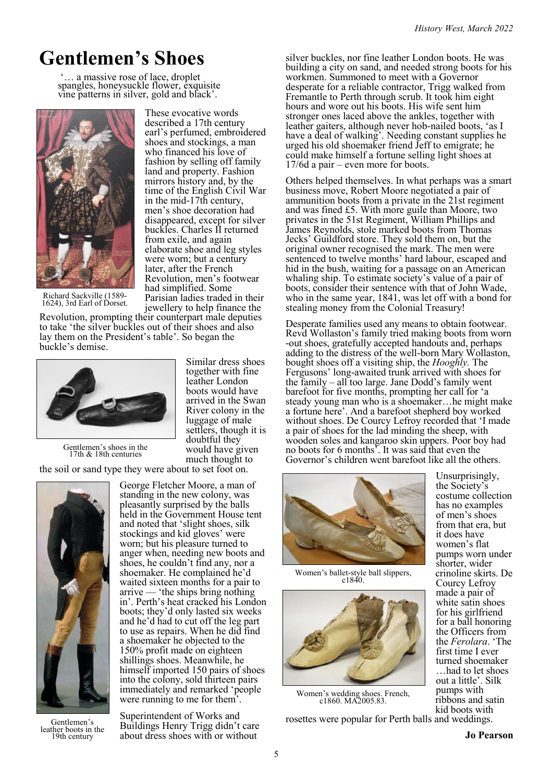# **Gentlemen's Shoes**

... a massive rose of lace, droplet spangles, honeysuckle flower, exquisite vine patterns in silver, gold and black'.



These evocative words described a 17th century earl's perfumed, embroidered shoes and stockings, a man who financed his love of fashion by selling off family land and property. Fashion mirrors history and, by the time of the English Civil War in the mid-17th century, men's shoe decoration had disappeared, except for silver buckles. Charles II returned from exile, and again elaborate shoe and leg styles were worn; but a century later, after the French Revolution, men's footwear had simplified. Some Parisian ladies traded in their jewellery to help finance the

Richard Sackville (1589- 1624), 3rd Earl of Dorset.

Revolution, prompting their counterpart male deputies to take 'the silver buckles out of their shoes and also lay them on the President's table'. So began the buckle's demise.



Similar dress shoes together with fine leather London boots would have arrived in the Swan River colony in the luggage of male settlers, though it is doubtful they would have given much thought to

Gentlemen's shoes in the 17th & 18th centuries

the soil or sand type they were about to set foot on.



Gentlemen's leather boots in the 19th century

George Fletcher Moore, a man of standing in the new colony, was pleasantly surprised by the balls held in the Government House tent and noted that 'slight shoes, silk stockings and kid gloves' were worn; but his pleasure turned to anger when, needing new boots and shoes, he couldn't find any, nor a shoemaker. He complained he'd waited sixteen months for a pair to arrive — 'the ships bring nothing in'. Perth's heat cracked his London boots; they'd only lasted six weeks and he'd had to cut off the leg part to use as repairs. When he did find a shoemaker he objected to the 150% profit made on eighteen shillings shoes. Meanwhile, he himself imported 150 pairs of shoes into the colony, sold thirteen pairs immediately and remarked 'people were running to me for them'.

Superintendent of Works and Buildings Henry Trigg didn't care about dress shoes with or without

silver buckles, nor fine leather London boots. He was building a city on sand, and needed strong boots for his workmen. Summoned to meet with a Governor desperate for a reliable contractor, Trigg walked from Fremantle to Perth through scrub. It took him eight hours and wore out his boots. His wife sent him stronger ones laced above the ankles, together with leather gaiters, although never hob-nailed boots, 'as I have a deal of walking'. Needing constant supplies he urged his old shoemaker friend Jeff to emigrate; he could make himself a fortune selling light shoes at 17/6d a pair – even more for boots.

Others helped themselves. In what perhaps was a smart business move, Robert Moore negotiated a pair of ammunition boots from a private in the 21st regiment and was fined £5. With more guile than Moore, two privates in the 51st Regiment, William Phillips and James Reynolds, stole marked boots from Thomas Jecks' Guildford store. They sold them on, but the original owner recognised the mark. The men were sentenced to twelve months' hard labour, escaped and hid in the bush, waiting for a passage on an American whaling ship. To estimate society's value of a pair of boots, consider their sentence with that of John Wade, who in the same year, 1841, was let off with a bond for stealing money from the Colonial Treasury!

Desperate families used any means to obtain footwear. Revd Wollaston's family tried making boots from worn -out shoes, gratefully accepted handouts and, perhaps adding to the distress of the well-born Mary Wollaston, bought shoes off a visiting ship, the *Hooghly.* The Fergusons' long-awaited trunk arrived with shoes for the family – all too large. Jane Dodd's family went barefoot for five months, prompting her call for 'a steady young man who is a shoemaker…he might make a fortune here'. And a barefoot shepherd boy worked without shoes. De Courcy Lefroy recorded that 'I made a pair of shoes for the lad minding the sheep, with wooden soles and kangaroo skin uppers. Poor boy had no boots for 6 months'. It was said that even the Governor's children went barefoot like all the others.



Women's ballet-style ball slippers, c1840.



Women's wedding shoes. French, c1860. MA2005.83.

rosettes were popular for Perth balls and weddings.

Unsurprisingly, the Society's costume collection has no examples of men's shoes from that era, but it does have women's flat pumps worn under shorter, wider crinoline skirts. De Courcy Lefroy made a pair of white satin shoes for his girlfriend for a ball honoring the Officers from the *Ferolara*. 'The first time I ever turned shoemaker …had to let shoes out a little'. Silk pumps with ribbons and satin kid boots with

**Jo Pearson**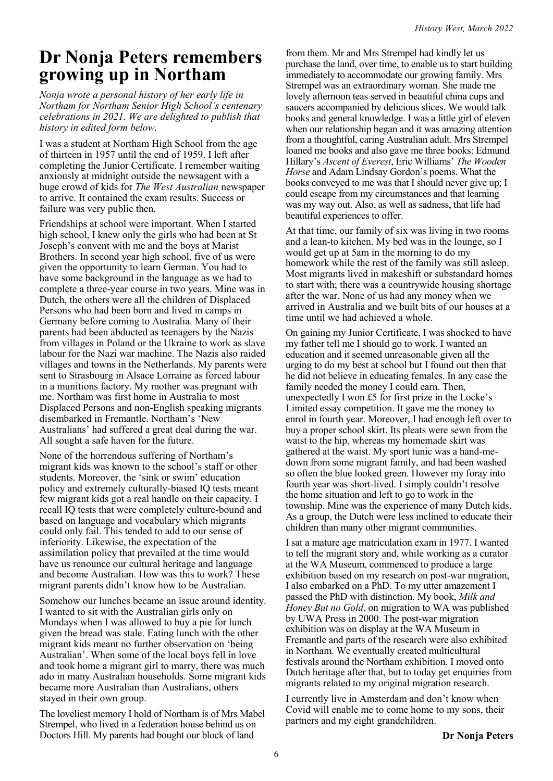### **Dr Nonja Peters remembers growing up in Northam**

*Nonja wrote a personal history of her early life in Northam for Northam Senior High School's centenary celebrations in 2021. We are delighted to publish that history in edited form below.*

I was a student at Northam High School from the age of thirteen in 1957 until the end of 1959. I left after completing the Junior Certificate. I remember waiting anxiously at midnight outside the newsagent with a huge crowd of kids for *The West Australian* newspaper to arrive. It contained the exam results. Success or failure was very public then.

Friendships at school were important. When I started high school, I knew only the girls who had been at St Joseph's convent with me and the boys at Marist Brothers. In second year high school, five of us were given the opportunity to learn German. You had to have some background in the language as we had to complete a three-year course in two years. Mine was in Dutch, the others were all the children of Displaced Persons who had been born and lived in camps in Germany before coming to Australia. Many of their parents had been abducted as teenagers by the Nazis from villages in Poland or the Ukraine to work as slave labour for the Nazi war machine. The Nazis also raided villages and towns in the Netherlands. My parents were sent to Strasbourg in Alsace Lorraine as forced labour in a munitions factory. My mother was pregnant with me. Northam was first home in Australia to most Displaced Persons and non-English speaking migrants disembarked in Fremantle. Northam's 'New Australians' had suffered a great deal during the war. All sought a safe haven for the future.

None of the horrendous suffering of Northam's migrant kids was known to the school's staff or other students. Moreover, the 'sink or swim' education policy and extremely culturally-biased IQ tests meant few migrant kids got a real handle on their capacity. I recall IQ tests that were completely culture-bound and based on language and vocabulary which migrants could only fail. This tended to add to our sense of inferiority. Likewise, the expectation of the assimilation policy that prevailed at the time would have us renounce our cultural heritage and language and become Australian. How was this to work? These migrant parents didn't know how to be Australian.

Somehow our lunches became an issue around identity. I wanted to sit with the Australian girls only on Mondays when I was allowed to buy a pie for lunch given the bread was stale. Eating lunch with the other migrant kids meant no further observation on 'being Australian'. When some of the local boys fell in love and took home a migrant girl to marry, there was much ado in many Australian households. Some migrant kids became more Australian than Australians, others stayed in their own group.

The loveliest memory I hold of Northam is of Mrs Mabel Strempel, who lived in a federation house behind us on Doctors Hill. My parents had bought our block of land

from them. Mr and Mrs Strempel had kindly let us purchase the land, over time, to enable us to start building immediately to accommodate our growing family. Mrs Strempel was an extraordinary woman. She made me lovely afternoon teas served in beautiful china cups and saucers accompanied by delicious slices. We would talk books and general knowledge. I was a little girl of eleven when our relationship began and it was amazing attention from a thoughtful, caring Australian adult. Mrs Strempel loaned me books and also gave me three books: Edmund Hillary's *Ascent of Everest*, Eric Williams' *The Wooden Horse* and Adam Lindsay Gordon's poems. What the books conveyed to me was that I should never give up; I could escape from my circumstances and that learning was my way out. Also, as well as sadness, that life had beautiful experiences to offer.

At that time, our family of six was living in two rooms and a lean-to kitchen. My bed was in the lounge, so  $I$ would get up at 5am in the morning to do my homework while the rest of the family was still asleep. Most migrants lived in makeshift or substandard homes to start with; there was a countrywide housing shortage after the war. None of us had any money when we arrived in Australia and we built bits of our houses at a time until we had achieved a whole.

On gaining my Junior Certificate, I was shocked to have my father tell me I should go to work. I wanted an education and it seemed unreasonable given all the urging to do my best at school but I found out then that he did not believe in educating females. In any case the family needed the money I could earn. Then, unexpectedly I won £5 for first prize in the Locke's Limited essay competition. It gave me the money to enrol in fourth year. Moreover, I had enough left over to buy a proper school skirt. Its pleats were sewn from the waist to the hip, whereas my homemade skirt was gathered at the waist. My sport tunic was a hand-medown from some migrant family, and had been washed so often the blue looked green. However my foray into fourth year was short-lived. I simply couldn't resolve the home situation and left to go to work in the township. Mine was the experience of many Dutch kids. As a group, the Dutch were less inclined to educate their children than many other migrant communities.

I sat a mature age matriculation exam in 1977. I wanted to tell the migrant story and, while working as a curator at the WA Museum, commenced to produce a large exhibition based on my research on post-war migration, I also embarked on a PhD. To my utter amazement I passed the PhD with distinction. My book, *Milk and Honey But no Gold*, on migration to WA was published by UWA Press in 2000. The post-war migration exhibition was on display at the WA Museum in Fremantle and parts of the research were also exhibited in Northam. We eventually created multicultural festivals around the Northam exhibition. I moved onto Dutch heritage after that, but to today get enquiries from migrants related to my original migration research.

I currently live in Amsterdam and don't know when Covid will enable me to come home to my sons, their partners and my eight grandchildren.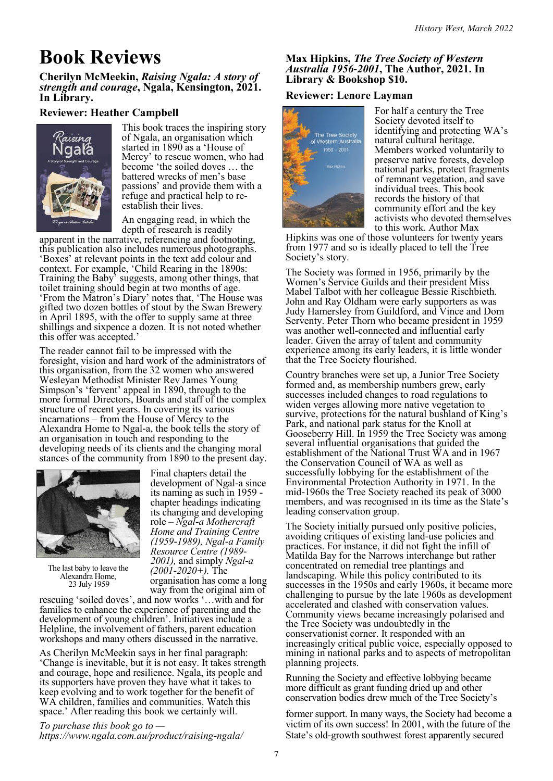# **Book Reviews**

**Cherilyn McMeekin,** *Raising Ngala: A story of strength and courage***, Ngala, Kensington, 2021. In Library.**

### **Reviewer: Heather Campbell**



This book traces the inspiring story of Ngala, an organisation which started in 1890 as a 'House of Mercy' to rescue women, who had become 'the soiled doves … the battered wrecks of men's base passions' and provide them with a refuge and practical help to reestablish their lives.

An engaging read, in which the depth of research is readily

apparent in the narrative, referencing and footnoting, this publication also includes numerous photographs. 'Boxes' at relevant points in the text add colour and context. For example, 'Child Rearing in the 1890s: Training the Baby' suggests, among other things, that toilet training should begin at two months of age. 'From the Matron's Diary' notes that, 'The House was gifted two dozen bottles of stout by the Swan Brewery in April 1895, with the offer to supply same at three shillings and sixpence a dozen. It is not noted whether this offer was accepted.'

The reader cannot fail to be impressed with the foresight, vision and hard work of the administrators of this organisation, from the 32 women who answered Wesleyan Methodist Minister Rev James Young Simpson's 'fervent' appeal in 1890, through to the more formal Directors, Boards and staff of the complex structure of recent years. In covering its various incarnations – from the House of Mercy to the Alexandra Home to Ngal-a, the book tells the story of an organisation in touch and responding to the developing needs of its clients and the changing moral stances of the community from 1890 to the present day.



The last baby to leave the Alexandra Home, 23 July 1959

Final chapters detail the development of Ngal-a since its naming as such in 1959 chapter headings indicating its changing and developing role *– Ngal-a Mothercraft Home and Training Centre (1959-1989), Ngal-a Family Resource Centre (1989- 2001),* and simply *Ngal-a (2001-2020+).* The organisation has come a long way from the original aim of

rescuing 'soiled doves', and now works '…with and for families to enhance the experience of parenting and the development of young children'. Initiatives include a Helpline, the involvement of fathers, parent education workshops and many others discussed in the narrative.

As Cherilyn McMeekin says in her final paragraph: 'Change is inevitable, but it is not easy. It takes strength and courage, hope and resilience. Ngala, its people and its supporters have proven they have what it takes to keep evolving and to work together for the benefit of WA children, families and communities. Watch this space.' After reading this book we certainly will.

*To purchase this book go to <https://www.ngala.com.au/product/raising-ngala/>*

### **Max Hipkins,** *The Tree Society of Western Australia 1956-2001***, The Author, 2021. In Library & Bookshop \$10.**

### **Reviewer: Lenore Layman**



For half a century the Tree Society devoted itself to identifying and protecting WA's natural cultural heritage. Members worked voluntarily to preserve native forests, develop national parks, protect fragments of remnant vegetation, and save individual trees. This book records the history of that community effort and the key activists who devoted themselves to this work. Author Max

Hipkins was one of those volunteers for twenty years from 1977 and so is ideally placed to tell the Tree Society's story.

The Society was formed in 1956, primarily by the Women's Service Guilds and their president Miss Mabel Talbot with her colleague Bessie Rischbieth. John and Ray Oldham were early supporters as was Judy Hamersley from Guildford, and Vince and Dom Serventy. Peter Thorn who became president in 1959 was another well-connected and influential early leader. Given the array of talent and community experience among its early leaders, it is little wonder that the Tree Society flourished.

Country branches were set up, a Junior Tree Society formed and, as membership numbers grew, early successes included changes to road regulations to widen verges allowing more native vegetation to survive, protections for the natural bushland of King's Park, and national park status for the Knoll at Gooseberry Hill. In 1959 the Tree Society was among several influential organisations that guided the establishment of the National Trust WA and in 1967 the Conservation Council of WA as well as successfully lobbying for the establishment of the Environmental Protection Authority in 1971. In the mid-1960s the Tree Society reached its peak of 3000 members, and was recognised in its time as the State's leading conservation group.

The Society initially pursued only positive policies, avoiding critiques of existing land-use policies and practices. For instance, it did not fight the infill of Matilda Bay for the Narrows interchange but rather concentrated on remedial tree plantings and landscaping. While this policy contributed to its successes in the 1950s and early 1960s, it became more challenging to pursue by the late 1960s as development accelerated and clashed with conservation values. Community views became increasingly polarised and the Tree Society was undoubtedly in the conservationist corner. It responded with an increasingly critical public voice, especially opposed to mining in national parks and to aspects of metropolitan planning projects.

Running the Society and effective lobbying became more difficult as grant funding dried up and other conservation bodies drew much of the Tree Society's

former support. In many ways, the Society had become a victim of its own success! In 2001, with the future of the State's old-growth southwest forest apparently secured